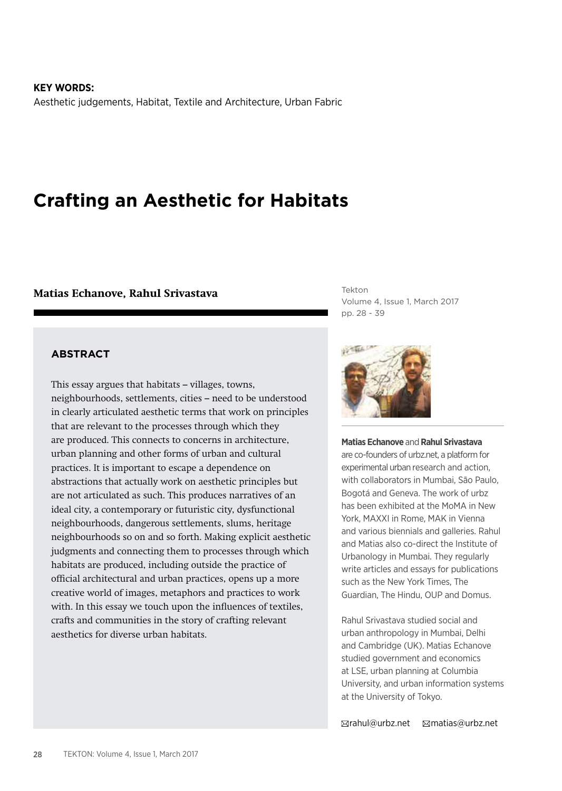**KEY WORDS:** Aesthetic judgements, Habitat, Textile and Architecture, Urban Fabric

# **Crafting an Aesthetic for Habitats**

#### **Matias Echanove, Rahul Srivastava**

Tekton Volume 4, Issue 1, March 2017 pp. 28 - 39

#### **ABSTRACT**

This essay argues that habitats – villages, towns, neighbourhoods, settlements, cities – need to be understood in clearly articulated aesthetic terms that work on principles that are relevant to the processes through which they are produced. This connects to concerns in architecture, urban planning and other forms of urban and cultural practices. It is important to escape a dependence on abstractions that actually work on aesthetic principles but are not articulated as such. This produces narratives of an ideal city, a contemporary or futuristic city, dysfunctional neighbourhoods, dangerous settlements, slums, heritage neighbourhoods so on and so forth. Making explicit aesthetic judgments and connecting them to processes through which habitats are produced, including outside the practice of official architectural and urban practices, opens up a more creative world of images, metaphors and practices to work with. In this essay we touch upon the influences of textiles, crafts and communities in the story of crafting relevant aesthetics for diverse urban habitats.



**Matias Echanove** and **Rahul Srivastava** are co-founders of urbz.net, a platform for experimental urban research and action, with collaborators in Mumbai, São Paulo, Bogotá and Geneva. The work of urbz has been exhibited at the MoMA in New York, MAXXI in Rome, MAK in Vienna and various biennials and galleries. Rahul and Matias also co-direct the Institute of Urbanology in Mumbai. They regularly write articles and essays for publications such as the New York Times, The Guardian, The Hindu, OUP and Domus.

Rahul Srivastava studied social and urban anthropology in Mumbai, Delhi and Cambridge (UK). Matias Echanove studied government and economics at LSE, urban planning at Columbia University, and urban information systems at the University of Tokyo.

rahul@urbz.net matias@urbz.net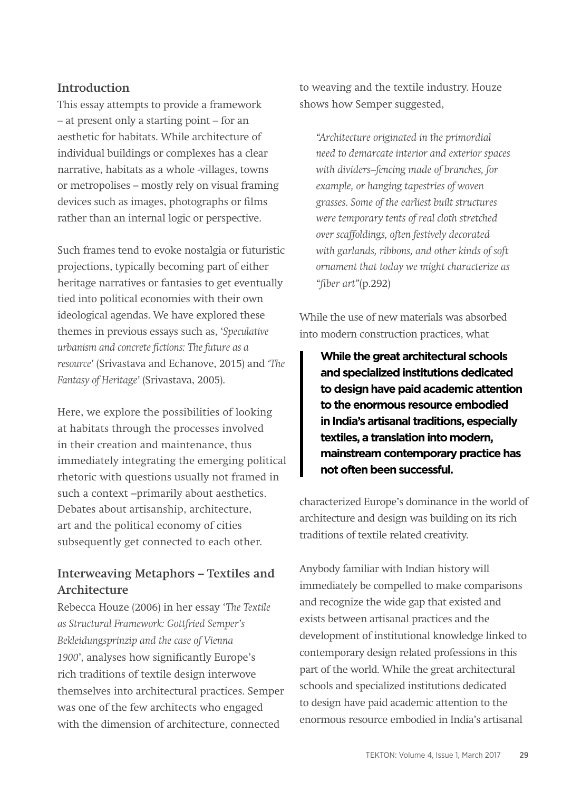## **Introduction**

This essay attempts to provide a framework – at present only a starting point – for an aesthetic for habitats. While architecture of individual buildings or complexes has a clear narrative, habitats as a whole -villages, towns or metropolises – mostly rely on visual framing devices such as images, photographs or films rather than an internal logic or perspective.

Such frames tend to evoke nostalgia or futuristic projections, typically becoming part of either heritage narratives or fantasies to get eventually tied into political economies with their own ideological agendas. We have explored these themes in previous essays such as, '*Speculative urbanism and concrete fictions: The future as a resource'* (Srivastava and Echanove, 2015) and *'The Fantasy of Heritage'* (Srivastava, 2005).

Here, we explore the possibilities of looking at habitats through the processes involved in their creation and maintenance, thus immediately integrating the emerging political rhetoric with questions usually not framed in such a context –primarily about aesthetics. Debates about artisanship, architecture, art and the political economy of cities subsequently get connected to each other.

# **Interweaving Metaphors – Textiles and Architecture**

Rebecca Houze (2006) in her essay '*The Textile as Structural Framework: Gottfried Semper's Bekleidungsprinzip and the case of Vienna 1900*', analyses how significantly Europe's rich traditions of textile design interwove themselves into architectural practices. Semper was one of the few architects who engaged with the dimension of architecture, connected

to weaving and the textile industry. Houze shows how Semper suggested,

*"Architecture originated in the primordial need to demarcate interior and exterior spaces with dividers–fencing made of branches, for example, or hanging tapestries of woven grasses. Some of the earliest built structures were temporary tents of real cloth stretched over scaffoldings, often festively decorated with garlands, ribbons, and other kinds of soft ornament that today we might characterize as "fiber art"*(p.292)

While the use of new materials was absorbed into modern construction practices, what

**While the great architectural schools and specialized institutions dedicated to design have paid academic attention to the enormous resource embodied in India's artisanal traditions, especially textiles, a translation into modern, mainstream contemporary practice has not often been successful.**

characterized Europe's dominance in the world of architecture and design was building on its rich traditions of textile related creativity.

Anybody familiar with Indian history will immediately be compelled to make comparisons and recognize the wide gap that existed and exists between artisanal practices and the development of institutional knowledge linked to contemporary design related professions in this part of the world. While the great architectural schools and specialized institutions dedicated to design have paid academic attention to the enormous resource embodied in India's artisanal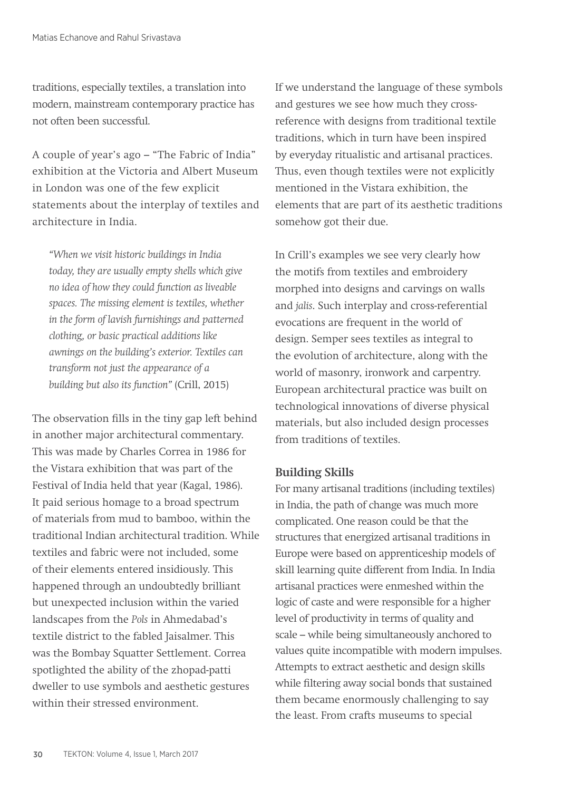traditions, especially textiles, a translation into modern, mainstream contemporary practice has not often been successful.

A couple of year's ago – "The Fabric of India" exhibition at the Victoria and Albert Museum in London was one of the few explicit statements about the interplay of textiles and architecture in India.

*"When we visit historic buildings in India today, they are usually empty shells which give no idea of how they could function as liveable spaces. The missing element is textiles, whether in the form of lavish furnishings and patterned clothing, or basic practical additions like awnings on the building's exterior. Textiles can transform not just the appearance of a building but also its function"* (Crill, 2015)

The observation fills in the tiny gap left behind in another major architectural commentary. This was made by Charles Correa in 1986 for the Vistara exhibition that was part of the Festival of India held that year (Kagal, 1986). It paid serious homage to a broad spectrum of materials from mud to bamboo, within the traditional Indian architectural tradition. While textiles and fabric were not included, some of their elements entered insidiously. This happened through an undoubtedly brilliant but unexpected inclusion within the varied landscapes from the *Pols* in Ahmedabad's textile district to the fabled Jaisalmer. This was the Bombay Squatter Settlement. Correa spotlighted the ability of the zhopad-patti dweller to use symbols and aesthetic gestures within their stressed environment.

If we understand the language of these symbols and gestures we see how much they crossreference with designs from traditional textile traditions, which in turn have been inspired by everyday ritualistic and artisanal practices. Thus, even though textiles were not explicitly mentioned in the Vistara exhibition, the elements that are part of its aesthetic traditions somehow got their due.

In Crill's examples we see very clearly how the motifs from textiles and embroidery morphed into designs and carvings on walls and *jalis*. Such interplay and cross-referential evocations are frequent in the world of design. Semper sees textiles as integral to the evolution of architecture, along with the world of masonry, ironwork and carpentry. European architectural practice was built on technological innovations of diverse physical materials, but also included design processes from traditions of textiles.

## **Building Skills**

For many artisanal traditions (including textiles) in India, the path of change was much more complicated. One reason could be that the structures that energized artisanal traditions in Europe were based on apprenticeship models of skill learning quite different from India. In India artisanal practices were enmeshed within the logic of caste and were responsible for a higher level of productivity in terms of quality and scale – while being simultaneously anchored to values quite incompatible with modern impulses. Attempts to extract aesthetic and design skills while filtering away social bonds that sustained them became enormously challenging to say the least. From crafts museums to special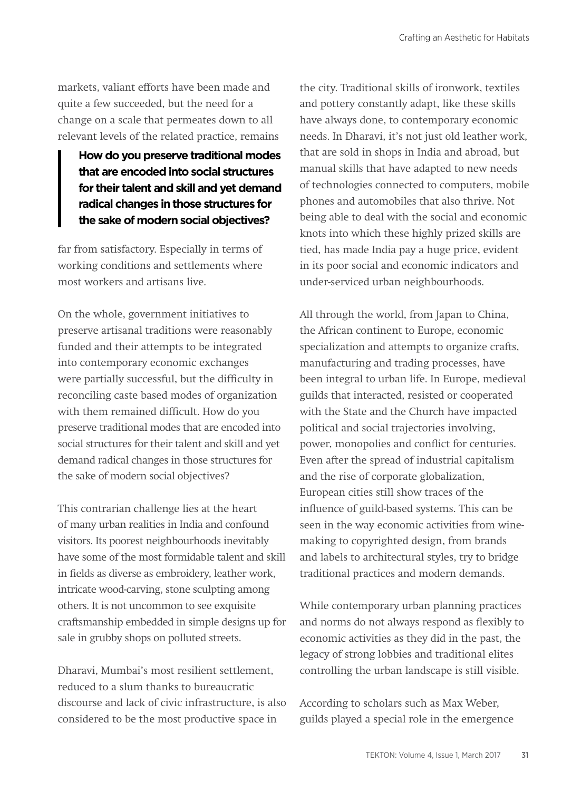markets, valiant efforts have been made and quite a few succeeded, but the need for a change on a scale that permeates down to all relevant levels of the related practice, remains

**How do you preserve traditional modes that are encoded into social structures for their talent and skill and yet demand radical changes in those structures for the sake of modern social objectives?**

far from satisfactory. Especially in terms of working conditions and settlements where most workers and artisans live.

On the whole, government initiatives to preserve artisanal traditions were reasonably funded and their attempts to be integrated into contemporary economic exchanges were partially successful, but the difficulty in reconciling caste based modes of organization with them remained difficult. How do you preserve traditional modes that are encoded into social structures for their talent and skill and yet demand radical changes in those structures for the sake of modern social objectives?

This contrarian challenge lies at the heart of many urban realities in India and confound visitors. Its poorest neighbourhoods inevitably have some of the most formidable talent and skill in fields as diverse as embroidery, leather work, intricate wood-carving, stone sculpting among others. It is not uncommon to see exquisite craftsmanship embedded in simple designs up for sale in grubby shops on polluted streets.

Dharavi, Mumbai's most resilient settlement, reduced to a slum thanks to bureaucratic discourse and lack of civic infrastructure, is also considered to be the most productive space in

the city. Traditional skills of ironwork, textiles and pottery constantly adapt, like these skills have always done, to contemporary economic needs. In Dharavi, it's not just old leather work, that are sold in shops in India and abroad, but manual skills that have adapted to new needs of technologies connected to computers, mobile phones and automobiles that also thrive. Not being able to deal with the social and economic knots into which these highly prized skills are tied, has made India pay a huge price, evident in its poor social and economic indicators and under-serviced urban neighbourhoods.

All through the world, from Japan to China, the African continent to Europe, economic specialization and attempts to organize crafts, manufacturing and trading processes, have been integral to urban life. In Europe, medieval guilds that interacted, resisted or cooperated with the State and the Church have impacted political and social trajectories involving, power, monopolies and conflict for centuries. Even after the spread of industrial capitalism and the rise of corporate globalization, European cities still show traces of the influence of guild-based systems. This can be seen in the way economic activities from winemaking to copyrighted design, from brands and labels to architectural styles, try to bridge traditional practices and modern demands.

While contemporary urban planning practices and norms do not always respond as flexibly to economic activities as they did in the past, the legacy of strong lobbies and traditional elites controlling the urban landscape is still visible.

According to scholars such as Max Weber, guilds played a special role in the emergence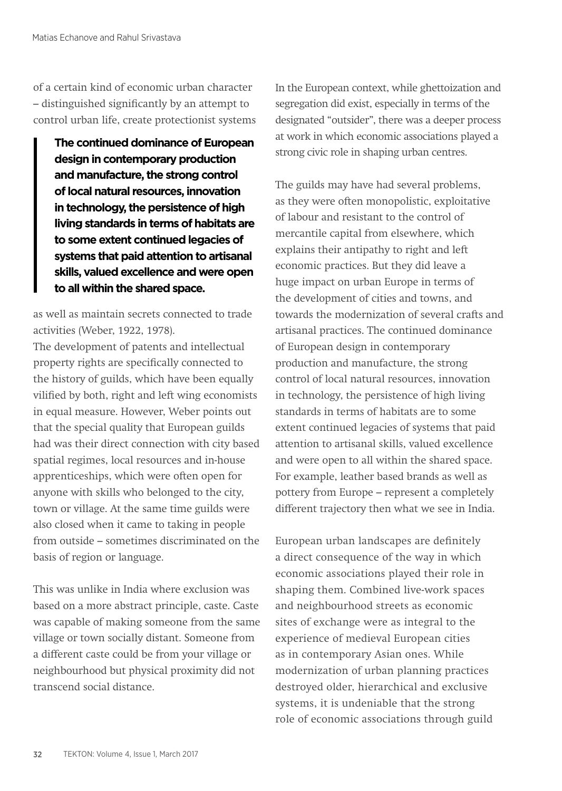of a certain kind of economic urban character – distinguished significantly by an attempt to control urban life, create protectionist systems

**The continued dominance of European design in contemporary production and manufacture, the strong control of local natural resources, innovation in technology, the persistence of high living standards in terms of habitats are to some extent continued legacies of systems that paid attention to artisanal skills, valued excellence and were open to all within the shared space.**

as well as maintain secrets connected to trade activities (Weber, 1922, 1978).

The development of patents and intellectual property rights are specifically connected to the history of guilds, which have been equally vilified by both, right and left wing economists in equal measure. However, Weber points out that the special quality that European guilds had was their direct connection with city based spatial regimes, local resources and in-house apprenticeships, which were often open for anyone with skills who belonged to the city, town or village. At the same time guilds were also closed when it came to taking in people from outside – sometimes discriminated on the basis of region or language.

This was unlike in India where exclusion was based on a more abstract principle, caste. Caste was capable of making someone from the same village or town socially distant. Someone from a different caste could be from your village or neighbourhood but physical proximity did not transcend social distance.

In the European context, while ghettoization and segregation did exist, especially in terms of the designated "outsider", there was a deeper process at work in which economic associations played a strong civic role in shaping urban centres.

The guilds may have had several problems, as they were often monopolistic, exploitative of labour and resistant to the control of mercantile capital from elsewhere, which explains their antipathy to right and left economic practices. But they did leave a huge impact on urban Europe in terms of the development of cities and towns, and towards the modernization of several crafts and artisanal practices. The continued dominance of European design in contemporary production and manufacture, the strong control of local natural resources, innovation in technology, the persistence of high living standards in terms of habitats are to some extent continued legacies of systems that paid attention to artisanal skills, valued excellence and were open to all within the shared space. For example, leather based brands as well as pottery from Europe – represent a completely different trajectory then what we see in India.

European urban landscapes are definitely a direct consequence of the way in which economic associations played their role in shaping them. Combined live-work spaces and neighbourhood streets as economic sites of exchange were as integral to the experience of medieval European cities as in contemporary Asian ones. While modernization of urban planning practices destroyed older, hierarchical and exclusive systems, it is undeniable that the strong role of economic associations through guild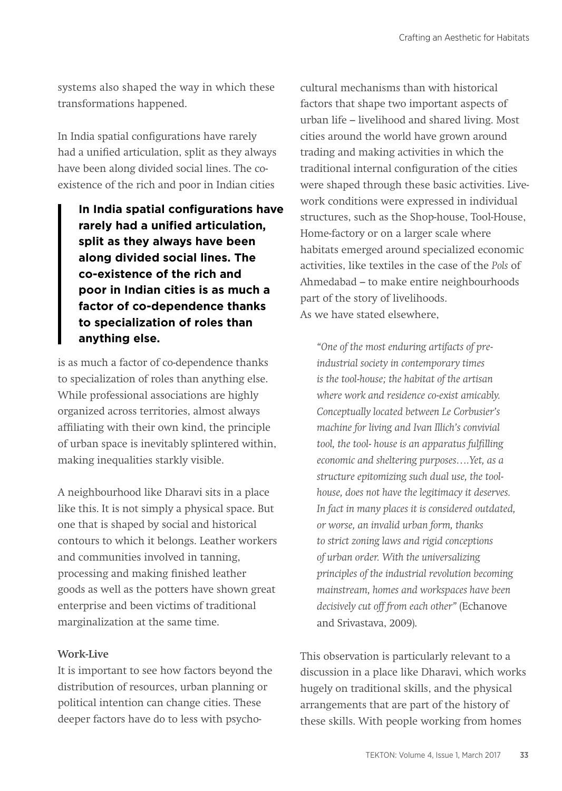systems also shaped the way in which these transformations happened.

In India spatial configurations have rarely had a unified articulation, split as they always have been along divided social lines. The coexistence of the rich and poor in Indian cities

**In India spatial configurations have rarely had a unified articulation, split as they always have been along divided social lines. The co-existence of the rich and poor in Indian cities is as much a factor of co-dependence thanks to specialization of roles than anything else.** 

is as much a factor of co-dependence thanks to specialization of roles than anything else. While professional associations are highly organized across territories, almost always affiliating with their own kind, the principle of urban space is inevitably splintered within, making inequalities starkly visible.

A neighbourhood like Dharavi sits in a place like this. It is not simply a physical space. But one that is shaped by social and historical contours to which it belongs. Leather workers and communities involved in tanning, processing and making finished leather goods as well as the potters have shown great enterprise and been victims of traditional marginalization at the same time.

## **Work-Live**

It is important to see how factors beyond the distribution of resources, urban planning or political intention can change cities. These deeper factors have do to less with psychocultural mechanisms than with historical factors that shape two important aspects of urban life – livelihood and shared living. Most cities around the world have grown around trading and making activities in which the traditional internal configuration of the cities were shaped through these basic activities. Livework conditions were expressed in individual structures, such as the Shop-house, Tool-House, Home-factory or on a larger scale where habitats emerged around specialized economic activities, like textiles in the case of the *Pols* of Ahmedabad – to make entire neighbourhoods part of the story of livelihoods. As we have stated elsewhere,

*"One of the most enduring artifacts of preindustrial society in contemporary times is the tool-house; the habitat of the artisan where work and residence co-exist amicably. Conceptually located between Le Corbusier's machine for living and Ivan Illich's convivial tool, the tool- house is an apparatus fulfilling economic and sheltering purposes….Yet, as a structure epitomizing such dual use, the toolhouse, does not have the legitimacy it deserves. In fact in many places it is considered outdated, or worse, an invalid urban form, thanks to strict zoning laws and rigid conceptions of urban order. With the universalizing principles of the industrial revolution becoming mainstream, homes and workspaces have been decisively cut off from each other"* (Echanove and Srivastava, 2009).

This observation is particularly relevant to a discussion in a place like Dharavi, which works hugely on traditional skills, and the physical arrangements that are part of the history of these skills. With people working from homes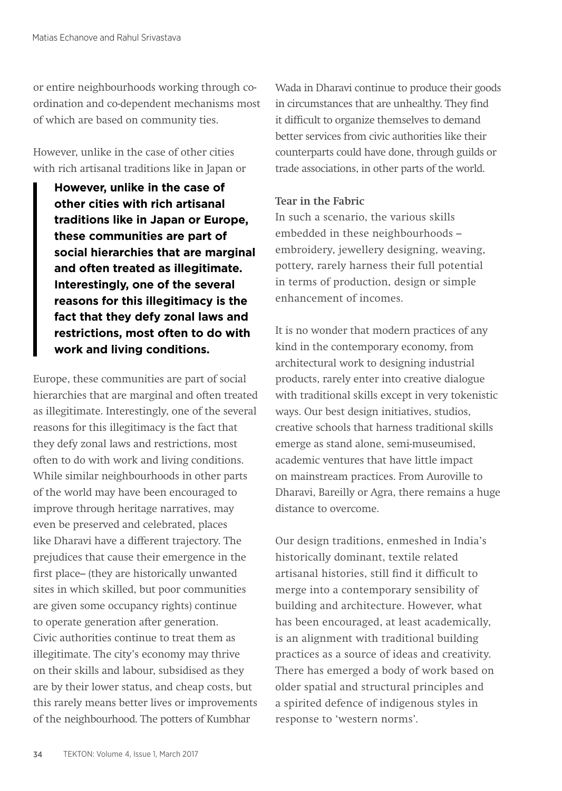or entire neighbourhoods working through coordination and co-dependent mechanisms most of which are based on community ties.

However, unlike in the case of other cities with rich artisanal traditions like in Japan or

**However, unlike in the case of other cities with rich artisanal traditions like in Japan or Europe, these communities are part of social hierarchies that are marginal and often treated as illegitimate. Interestingly, one of the several reasons for this illegitimacy is the fact that they defy zonal laws and restrictions, most often to do with work and living conditions.** 

Europe, these communities are part of social hierarchies that are marginal and often treated as illegitimate. Interestingly, one of the several reasons for this illegitimacy is the fact that they defy zonal laws and restrictions, most often to do with work and living conditions. While similar neighbourhoods in other parts of the world may have been encouraged to improve through heritage narratives, may even be preserved and celebrated, places like Dharavi have a different trajectory. The prejudices that cause their emergence in the first place– (they are historically unwanted sites in which skilled, but poor communities are given some occupancy rights) continue to operate generation after generation. Civic authorities continue to treat them as illegitimate. The city's economy may thrive on their skills and labour, subsidised as they are by their lower status, and cheap costs, but this rarely means better lives or improvements of the neighbourhood. The potters of Kumbhar

Wada in Dharavi continue to produce their goods in circumstances that are unhealthy. They find it difficult to organize themselves to demand better services from civic authorities like their counterparts could have done, through guilds or trade associations, in other parts of the world.

## **Tear in the Fabric**

In such a scenario, the various skills embedded in these neighbourhoods – embroidery, jewellery designing, weaving, pottery, rarely harness their full potential in terms of production, design or simple enhancement of incomes.

It is no wonder that modern practices of any kind in the contemporary economy, from architectural work to designing industrial products, rarely enter into creative dialogue with traditional skills except in very tokenistic ways. Our best design initiatives, studios, creative schools that harness traditional skills emerge as stand alone, semi-museumised, academic ventures that have little impact on mainstream practices. From Auroville to Dharavi, Bareilly or Agra, there remains a huge distance to overcome.

Our design traditions, enmeshed in India's historically dominant, textile related artisanal histories, still find it difficult to merge into a contemporary sensibility of building and architecture. However, what has been encouraged, at least academically, is an alignment with traditional building practices as a source of ideas and creativity. There has emerged a body of work based on older spatial and structural principles and a spirited defence of indigenous styles in response to 'western norms'.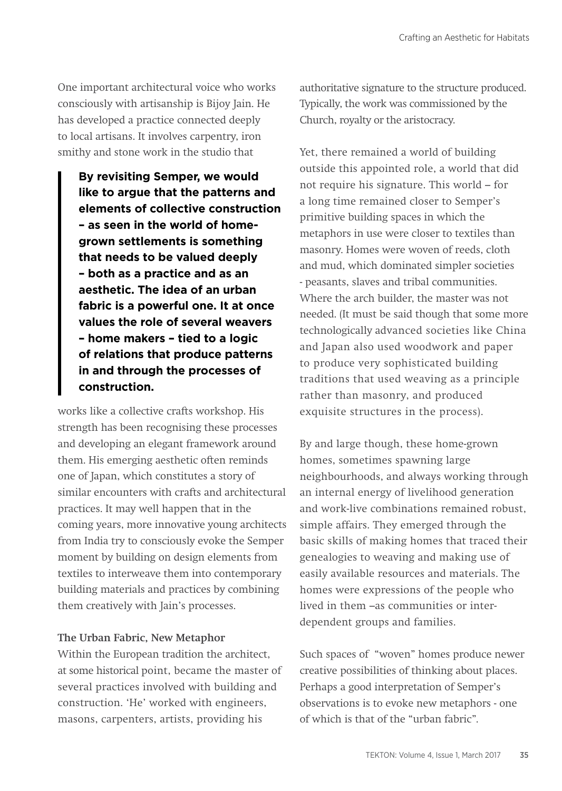One important architectural voice who works consciously with artisanship is Bijoy Jain. He has developed a practice connected deeply to local artisans. It involves carpentry, iron smithy and stone work in the studio that

**By revisiting Semper, we would like to argue that the patterns and elements of collective construction – as seen in the world of homegrown settlements is something that needs to be valued deeply – both as a practice and as an aesthetic. The idea of an urban fabric is a powerful one. It at once values the role of several weavers – home makers – tied to a logic of relations that produce patterns in and through the processes of construction.**

works like a collective crafts workshop. His strength has been recognising these processes and developing an elegant framework around them. His emerging aesthetic often reminds one of Japan, which constitutes a story of similar encounters with crafts and architectural practices. It may well happen that in the coming years, more innovative young architects from India try to consciously evoke the Semper moment by building on design elements from textiles to interweave them into contemporary building materials and practices by combining them creatively with Jain's processes.

#### **The Urban Fabric, New Metaphor**

Within the European tradition the architect, at some historical point, became the master of several practices involved with building and construction. 'He' worked with engineers, masons, carpenters, artists, providing his

authoritative signature to the structure produced. Typically, the work was commissioned by the Church, royalty or the aristocracy.

Yet, there remained a world of building outside this appointed role, a world that did not require his signature. This world – for a long time remained closer to Semper's primitive building spaces in which the metaphors in use were closer to textiles than masonry. Homes were woven of reeds, cloth and mud, which dominated simpler societies - peasants, slaves and tribal communities. Where the arch builder, the master was not needed. (It must be said though that some more technologically advanced societies like China and Japan also used woodwork and paper to produce very sophisticated building traditions that used weaving as a principle rather than masonry, and produced exquisite structures in the process).

By and large though, these home-grown homes, sometimes spawning large neighbourhoods, and always working through an internal energy of livelihood generation and work-live combinations remained robust, simple affairs. They emerged through the basic skills of making homes that traced their genealogies to weaving and making use of easily available resources and materials. The homes were expressions of the people who lived in them –as communities or interdependent groups and families.

Such spaces of "woven" homes produce newer creative possibilities of thinking about places. Perhaps a good interpretation of Semper's observations is to evoke new metaphors - one of which is that of the "urban fabric".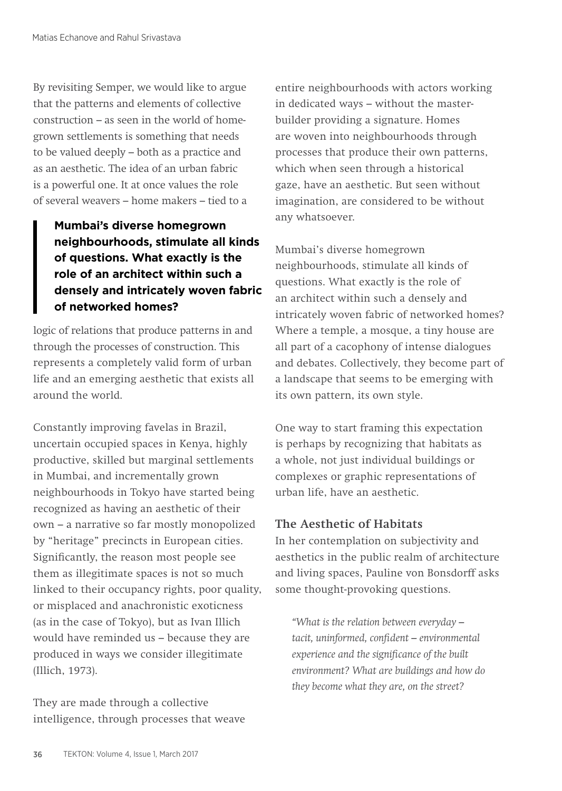By revisiting Semper, we would like to argue that the patterns and elements of collective construction – as seen in the world of homegrown settlements is something that needs to be valued deeply – both as a practice and as an aesthetic. The idea of an urban fabric is a powerful one. It at once values the role of several weavers – home makers – tied to a

# **Mumbai's diverse homegrown neighbourhoods, stimulate all kinds of questions. What exactly is the role of an architect within such a densely and intricately woven fabric of networked homes?**

logic of relations that produce patterns in and through the processes of construction. This represents a completely valid form of urban life and an emerging aesthetic that exists all around the world.

Constantly improving favelas in Brazil, uncertain occupied spaces in Kenya, highly productive, skilled but marginal settlements in Mumbai, and incrementally grown neighbourhoods in Tokyo have started being recognized as having an aesthetic of their own – a narrative so far mostly monopolized by "heritage" precincts in European cities. Significantly, the reason most people see them as illegitimate spaces is not so much linked to their occupancy rights, poor quality, or misplaced and anachronistic exoticness (as in the case of Tokyo), but as Ivan Illich would have reminded us – because they are produced in ways we consider illegitimate (Illich, 1973).

They are made through a collective intelligence, through processes that weave entire neighbourhoods with actors working in dedicated ways – without the masterbuilder providing a signature. Homes are woven into neighbourhoods through processes that produce their own patterns, which when seen through a historical gaze, have an aesthetic. But seen without imagination, are considered to be without any whatsoever.

Mumbai's diverse homegrown neighbourhoods, stimulate all kinds of questions. What exactly is the role of an architect within such a densely and intricately woven fabric of networked homes? Where a temple, a mosque, a tiny house are all part of a cacophony of intense dialogues and debates. Collectively, they become part of a landscape that seems to be emerging with its own pattern, its own style.

One way to start framing this expectation is perhaps by recognizing that habitats as a whole, not just individual buildings or complexes or graphic representations of urban life, have an aesthetic.

# **The Aesthetic of Habitats**

In her contemplation on subjectivity and aesthetics in the public realm of architecture and living spaces, Pauline von Bonsdorff asks some thought-provoking questions.

*"What is the relation between everyday – tacit, uninformed, confident – environmental experience and the significance of the built environment? What are buildings and how do they become what they are, on the street?*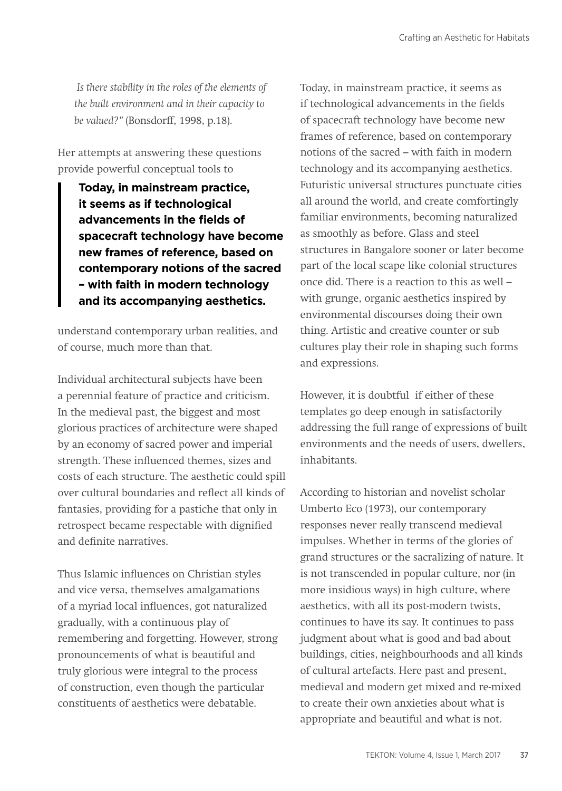*Is there stability in the roles of the elements of the built environment and in their capacity to be valued?"* (Bonsdorff, 1998, p.18).

Her attempts at answering these questions provide powerful conceptual tools to

> **Today, in mainstream practice, it seems as if technological advancements in the fields of spacecraft technology have become new frames of reference, based on contemporary notions of the sacred – with faith in modern technology and its accompanying aesthetics.**

understand contemporary urban realities, and of course, much more than that.

Individual architectural subjects have been a perennial feature of practice and criticism. In the medieval past, the biggest and most glorious practices of architecture were shaped by an economy of sacred power and imperial strength. These influenced themes, sizes and costs of each structure. The aesthetic could spill over cultural boundaries and reflect all kinds of fantasies, providing for a pastiche that only in retrospect became respectable with dignified and definite narratives.

Thus Islamic influences on Christian styles and vice versa, themselves amalgamations of a myriad local influences, got naturalized gradually, with a continuous play of remembering and forgetting. However, strong pronouncements of what is beautiful and truly glorious were integral to the process of construction, even though the particular constituents of aesthetics were debatable.

Today, in mainstream practice, it seems as if technological advancements in the fields of spacecraft technology have become new frames of reference, based on contemporary notions of the sacred – with faith in modern technology and its accompanying aesthetics. Futuristic universal structures punctuate cities all around the world, and create comfortingly familiar environments, becoming naturalized as smoothly as before. Glass and steel structures in Bangalore sooner or later become part of the local scape like colonial structures once did. There is a reaction to this as well – with grunge, organic aesthetics inspired by environmental discourses doing their own thing. Artistic and creative counter or sub cultures play their role in shaping such forms and expressions.

However, it is doubtful if either of these templates go deep enough in satisfactorily addressing the full range of expressions of built environments and the needs of users, dwellers, inhabitants.

According to historian and novelist scholar Umberto Eco (1973), our contemporary responses never really transcend medieval impulses. Whether in terms of the glories of grand structures or the sacralizing of nature. It is not transcended in popular culture, nor (in more insidious ways) in high culture, where aesthetics, with all its post-modern twists, continues to have its say. It continues to pass judgment about what is good and bad about buildings, cities, neighbourhoods and all kinds of cultural artefacts. Here past and present, medieval and modern get mixed and re-mixed to create their own anxieties about what is appropriate and beautiful and what is not.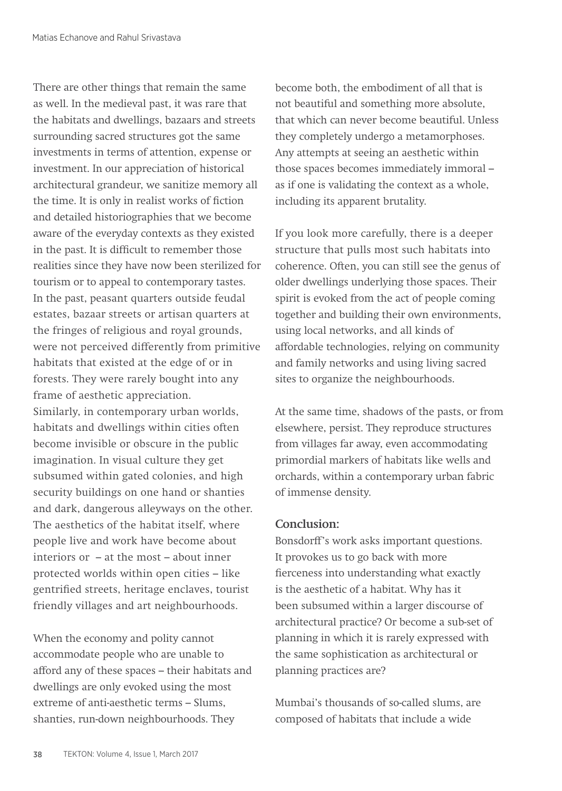There are other things that remain the same as well. In the medieval past, it was rare that the habitats and dwellings, bazaars and streets surrounding sacred structures got the same investments in terms of attention, expense or investment. In our appreciation of historical architectural grandeur, we sanitize memory all the time. It is only in realist works of fiction and detailed historiographies that we become aware of the everyday contexts as they existed in the past. It is difficult to remember those realities since they have now been sterilized for tourism or to appeal to contemporary tastes. In the past, peasant quarters outside feudal estates, bazaar streets or artisan quarters at the fringes of religious and royal grounds, were not perceived differently from primitive habitats that existed at the edge of or in forests. They were rarely bought into any frame of aesthetic appreciation. Similarly, in contemporary urban worlds, habitats and dwellings within cities often become invisible or obscure in the public imagination. In visual culture they get subsumed within gated colonies, and high security buildings on one hand or shanties and dark, dangerous alleyways on the other. The aesthetics of the habitat itself, where people live and work have become about interiors or – at the most – about inner protected worlds within open cities – like gentrified streets, heritage enclaves, tourist friendly villages and art neighbourhoods.

When the economy and polity cannot accommodate people who are unable to afford any of these spaces – their habitats and dwellings are only evoked using the most extreme of anti-aesthetic terms – Slums, shanties, run-down neighbourhoods. They

become both, the embodiment of all that is not beautiful and something more absolute, that which can never become beautiful. Unless they completely undergo a metamorphoses. Any attempts at seeing an aesthetic within those spaces becomes immediately immoral – as if one is validating the context as a whole, including its apparent brutality.

If you look more carefully, there is a deeper structure that pulls most such habitats into coherence. Often, you can still see the genus of older dwellings underlying those spaces. Their spirit is evoked from the act of people coming together and building their own environments, using local networks, and all kinds of affordable technologies, relying on community and family networks and using living sacred sites to organize the neighbourhoods.

At the same time, shadows of the pasts, or from elsewhere, persist. They reproduce structures from villages far away, even accommodating primordial markers of habitats like wells and orchards, within a contemporary urban fabric of immense density.

## **Conclusion:**

Bonsdorff's work asks important questions. It provokes us to go back with more fierceness into understanding what exactly is the aesthetic of a habitat. Why has it been subsumed within a larger discourse of architectural practice? Or become a sub-set of planning in which it is rarely expressed with the same sophistication as architectural or planning practices are?

Mumbai's thousands of so-called slums, are composed of habitats that include a wide